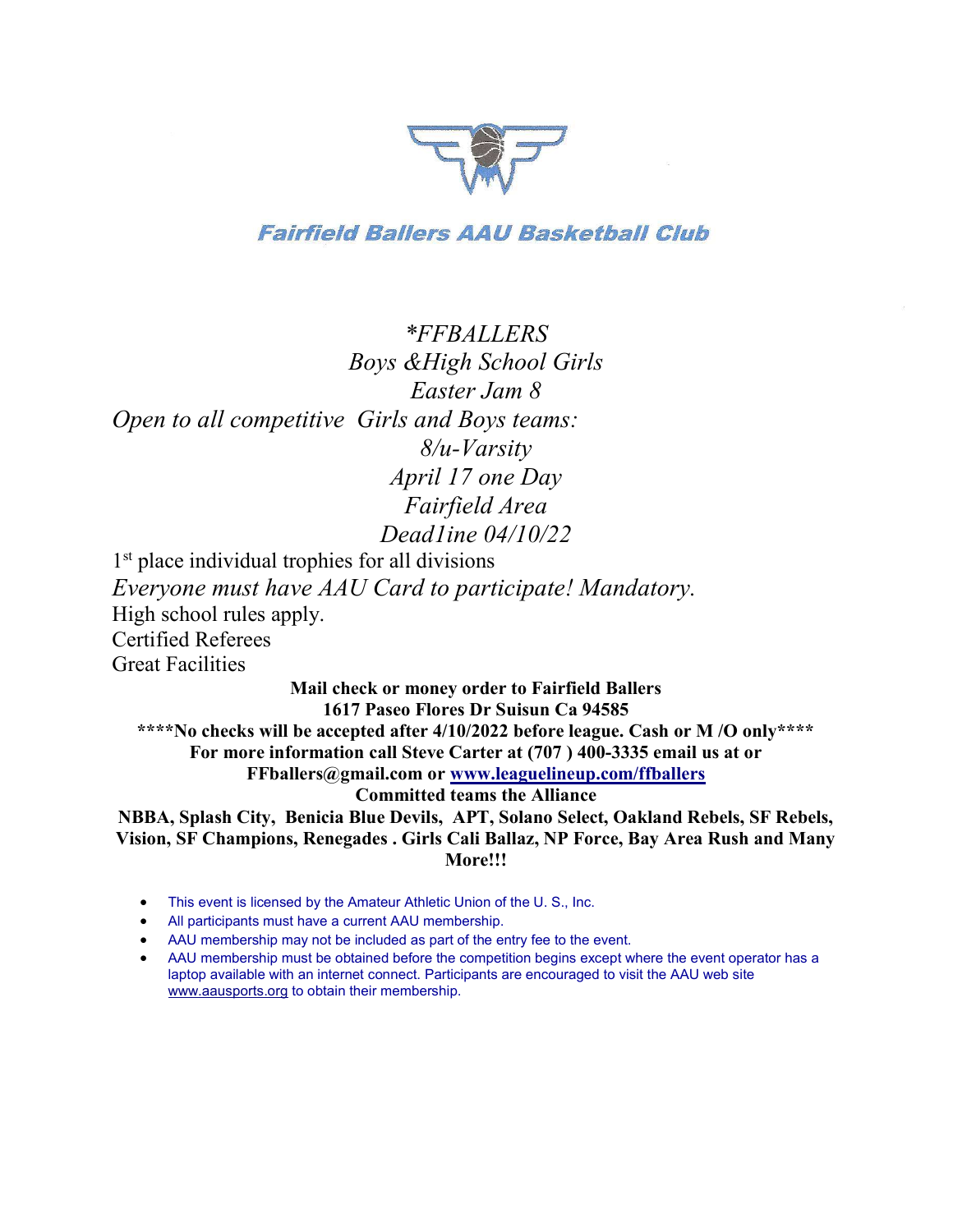

## **Fairfield Ballers AAU Basketball Club**

\*FFBALLERS Boys &High School Girls Easter Jam 8 Open to all competitive Girls and Boys teams: 8/u-Varsity April 17 one Day Fairfield Area Dead1ine 04/10/22 1 st place individual trophies for all divisions

Everyone must have AAU Card to participate! Mandatory.

High school rules apply.

Certified Referees

Great Facilities

Mail check or money order to Fairfield Ballers 1617 Paseo Flores Dr Suisun Ca 94585 \*\*\*\*No checks will be accepted after 4/10/2022 before league. Cash or M /O only\*\*\*\* For more information call Steve Carter at (707 ) 400-3335 email us at or FFballers@gmail.com or www.leaguelineup.com/ffballers Committed teams the Alliance

NBBA, Splash City, Benicia Blue Devils, APT, Solano Select, Oakland Rebels, SF Rebels, Vision, SF Champions, Renegades . Girls Cali Ballaz, NP Force, Bay Area Rush and Many More!!!

- This event is licensed by the Amateur Athletic Union of the U. S., Inc.
- All participants must have a current AAU membership.
- AAU membership may not be included as part of the entry fee to the event.
- AAU membership must be obtained before the competition begins except where the event operator has a laptop available with an internet connect. Participants are encouraged to visit the AAU web site www.aausports.org to obtain their membership.